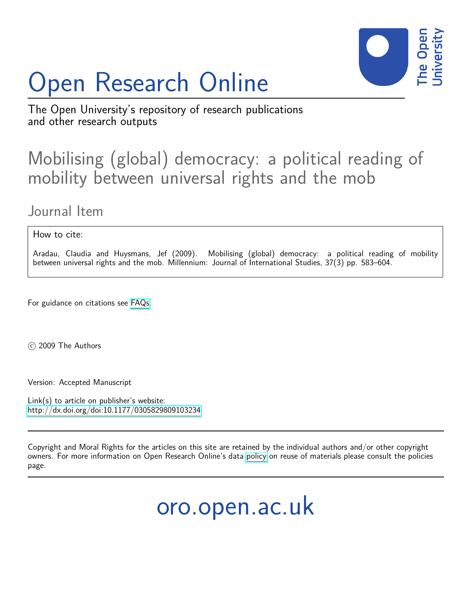# Open Research Online



The Open University's repository of research publications and other research outputs

# Mobilising (global) democracy: a political reading of mobility between universal rights and the mob

## Journal Item

How to cite:

Aradau, Claudia and Huysmans, Jef (2009). Mobilising (global) democracy: a political reading of mobility between universal rights and the mob. Millennium: Journal of International Studies, 37(3) pp. 583–604.

For guidance on citations see [FAQs.](http://oro.open.ac.uk/help/helpfaq.html)

c 2009 The Authors

Version: Accepted Manuscript

Link(s) to article on publisher's website: <http://dx.doi.org/doi:10.1177/0305829809103234>

Copyright and Moral Rights for the articles on this site are retained by the individual authors and/or other copyright owners. For more information on Open Research Online's data [policy](http://oro.open.ac.uk/policies.html) on reuse of materials please consult the policies page.

oro.open.ac.uk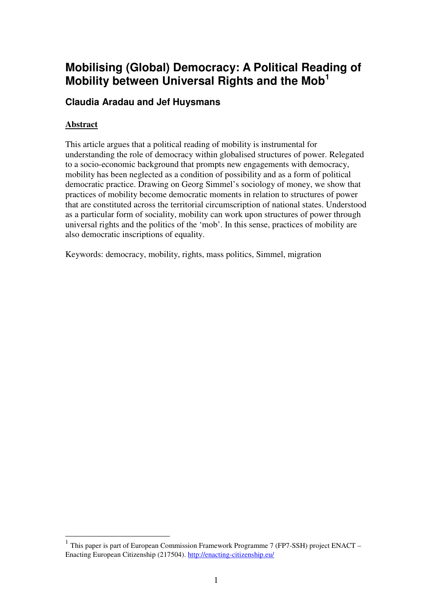### **Mobilising (Global) Democracy: A Political Reading of Mobility between Universal Rights and the Mob<sup>1</sup>**

#### **Claudia Aradau and Jef Huysmans**

#### **Abstract**

 $\overline{a}$ 

This article argues that a political reading of mobility is instrumental for understanding the role of democracy within globalised structures of power. Relegated to a socio-economic background that prompts new engagements with democracy, mobility has been neglected as a condition of possibility and as a form of political democratic practice. Drawing on Georg Simmel's sociology of money, we show that practices of mobility become democratic moments in relation to structures of power that are constituted across the territorial circumscription of national states. Understood as a particular form of sociality, mobility can work upon structures of power through universal rights and the politics of the 'mob'. In this sense, practices of mobility are also democratic inscriptions of equality.

Keywords: democracy, mobility, rights, mass politics, Simmel, migration

<sup>&</sup>lt;sup>1</sup> This paper is part of European Commission Framework Programme 7 (FP7-SSH) project ENACT – Enacting European Citizenship (217504). http://enacting-citizenship.eu/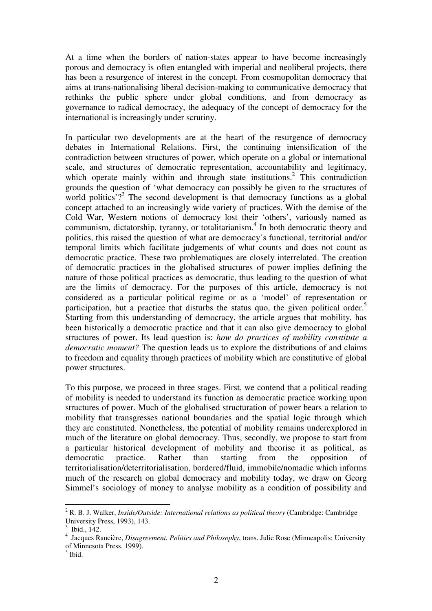At a time when the borders of nation-states appear to have become increasingly porous and democracy is often entangled with imperial and neoliberal projects, there has been a resurgence of interest in the concept. From cosmopolitan democracy that aims at trans-nationalising liberal decision-making to communicative democracy that rethinks the public sphere under global conditions, and from democracy as governance to radical democracy, the adequacy of the concept of democracy for the international is increasingly under scrutiny.

In particular two developments are at the heart of the resurgence of democracy debates in International Relations. First, the continuing intensification of the contradiction between structures of power, which operate on a global or international scale, and structures of democratic representation, accountability and legitimacy, which operate mainly within and through state institutions.<sup>2</sup> This contradiction grounds the question of 'what democracy can possibly be given to the structures of world politics'?<sup>3</sup> The second development is that democracy functions as a global concept attached to an increasingly wide variety of practices. With the demise of the Cold War, Western notions of democracy lost their 'others', variously named as communism, dictatorship, tyranny, or totalitarianism. 4 In both democratic theory and politics, this raised the question of what are democracy's functional, territorial and/or temporal limits which facilitate judgements of what counts and does not count as democratic practice. These two problematiques are closely interrelated. The creation of democratic practices in the globalised structures of power implies defining the nature of those political practices as democratic, thus leading to the question of what are the limits of democracy. For the purposes of this article, democracy is not considered as a particular political regime or as a 'model' of representation or participation, but a practice that disturbs the status quo, the given political order.<sup>5</sup> Starting from this understanding of democracy, the article argues that mobility, has been historically a democratic practice and that it can also give democracy to global structures of power. Its lead question is: *how do practices of mobility constitute a democratic moment?* The question leads us to explore the distributions of and claims to freedom and equality through practices of mobility which are constitutive of global power structures.

To this purpose, we proceed in three stages. First, we contend that a political reading of mobility is needed to understand its function as democratic practice working upon structures of power. Much of the globalised structuration of power bears a relation to mobility that transgresses national boundaries and the spatial logic through which they are constituted. Nonetheless, the potential of mobility remains underexplored in much of the literature on global democracy. Thus, secondly, we propose to start from a particular historical development of mobility and theorise it as political, as democratic practice. Rather than starting from the opposition of territorialisation/deterritorialisation, bordered/fluid, immobile/nomadic which informs much of the research on global democracy and mobility today, we draw on Georg Simmel's sociology of money to analyse mobility as a condition of possibility and

<sup>2</sup> R. B. J. Walker, *Inside/Outside: International relations as political theory* (Cambridge: Cambridge University Press, 1993), 143.

<sup>3</sup> Ibid., 142.

<sup>4</sup> Jacques Rancière, *Disagreement. Politics and Philosophy*, trans. Julie Rose (Minneapolis: University of Minnesota Press, 1999).

<sup>5</sup> Ibid.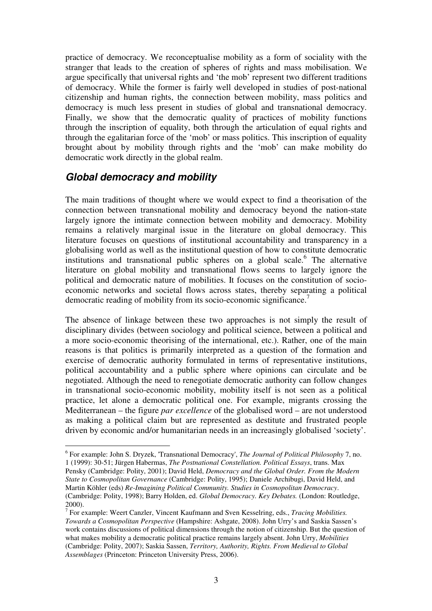practice of democracy. We reconceptualise mobility as a form of sociality with the stranger that leads to the creation of spheres of rights and mass mobilisation. We argue specifically that universal rights and 'the mob' represent two different traditions of democracy. While the former is fairly well developed in studies of post-national citizenship and human rights, the connection between mobility, mass politics and democracy is much less present in studies of global and transnational democracy. Finally, we show that the democratic quality of practices of mobility functions through the inscription of equality, both through the articulation of equal rights and through the egalitarian force of the 'mob' or mass politics. This inscription of equality brought about by mobility through rights and the 'mob' can make mobility do democratic work directly in the global realm.

#### **Global democracy and mobility**

 $\overline{a}$ 

The main traditions of thought where we would expect to find a theorisation of the connection between transnational mobility and democracy beyond the nation-state largely ignore the intimate connection between mobility and democracy. Mobility remains a relatively marginal issue in the literature on global democracy. This literature focuses on questions of institutional accountability and transparency in a globalising world as well as the institutional question of how to constitute democratic institutions and transnational public spheres on a global scale.<sup>6</sup> The alternative literature on global mobility and transnational flows seems to largely ignore the political and democratic nature of mobilities. It focuses on the constitution of socioeconomic networks and societal flows across states, thereby separating a political democratic reading of mobility from its socio-economic significance.<sup>7</sup>

The absence of linkage between these two approaches is not simply the result of disciplinary divides (between sociology and political science, between a political and a more socio-economic theorising of the international, etc.). Rather, one of the main reasons is that politics is primarily interpreted as a question of the formation and exercise of democratic authority formulated in terms of representative institutions, political accountability and a public sphere where opinions can circulate and be negotiated. Although the need to renegotiate democratic authority can follow changes in transnational socio-economic mobility, mobility itself is not seen as a political practice, let alone a democratic political one. For example, migrants crossing the Mediterranean – the figure *par excellence* of the globalised word – are not understood as making a political claim but are represented as destitute and frustrated people driven by economic and/or humanitarian needs in an increasingly globalised 'society'.

<sup>6</sup> For example: John S. Dryzek, 'Transnational Democracy', *The Journal of Political Philosophy* 7, no. 1 (1999): 30-51; Jürgen Habermas, *The Postnational Constellation. Political Essays*, trans. Max Pensky (Cambridge: Polity, 2001); David Held, *Democracy and the Global Order. From the Modern State to Cosmopolitan Governance* (Cambridge: Polity, 1995); Daniele Archibugi, David Held, and Martin Köhler (eds) *Re-Imagining Political Community. Studies in Cosmopolitan Democracy*. (Cambridge: Polity, 1998); Barry Holden, ed. *Global Democracy. Key Debates.* (London: Routledge, 2000).

<sup>7</sup> For example: Weert Canzler, Vincent Kaufmann and Sven Kesselring, eds., *Tracing Mobilities. Towards a Cosmopolitan Perspective* (Hampshire: Ashgate, 2008). John Urry's and Saskia Sassen's work contains discussions of political dimensions through the notion of citizenship. But the question of what makes mobility a democratic political practice remains largely absent. John Urry, *Mobilities* (Cambridge: Polity, 2007); Saskia Sassen, *Territory, Authority, Rights. From Medieval to Global Assemblages* (Princeton: Princeton University Press, 2006).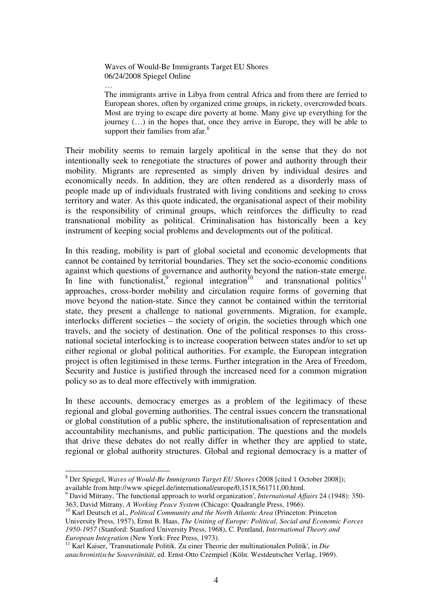Waves of Would-Be Immigrants Target EU Shores 06/24/2008 Spiegel Online

…

 $\overline{a}$ 

The immigrants arrive in Libya from central Africa and from there are ferried to European shores, often by organized crime groups, in rickety, overcrowded boats. Most are trying to escape dire poverty at home. Many give up everything for the journey (…) in the hopes that, once they arrive in Europe, they will be able to support their families from afar.<sup>8</sup>

Their mobility seems to remain largely apolitical in the sense that they do not intentionally seek to renegotiate the structures of power and authority through their mobility. Migrants are represented as simply driven by individual desires and economically needs. In addition, they are often rendered as a disorderly mass of people made up of individuals frustrated with living conditions and seeking to cross territory and water. As this quote indicated, the organisational aspect of their mobility is the responsibility of criminal groups, which reinforces the difficulty to read transnational mobility as political. Criminalisation has historically been a key instrument of keeping social problems and developments out of the political.

In this reading, mobility is part of global societal and economic developments that cannot be contained by territorial boundaries. They set the socio-economic conditions against which questions of governance and authority beyond the nation-state emerge. In line with functionalist, regional integration<sup>10</sup> and transnational politics<sup>11</sup> approaches, cross-border mobility and circulation require forms of governing that move beyond the nation-state. Since they cannot be contained within the territorial state, they present a challenge to national governments. Migration, for example, interlocks different societies – the society of origin, the societies through which one travels, and the society of destination. One of the political responses to this crossnational societal interlocking is to increase cooperation between states and/or to set up either regional or global political authorities. For example, the European integration project is often legitimised in these terms. Further integration in the Area of Freedom, Security and Justice is justified through the increased need for a common migration policy so as to deal more effectively with immigration.

In these accounts, democracy emerges as a problem of the legitimacy of these regional and global governing authorities. The central issues concern the transnational or global constitution of a public sphere, the institutionalisation of representation and accountability mechanisms, and public participation. The questions and the models that drive these debates do not really differ in whether they are applied to state, regional or global authority structures. Global and regional democracy is a matter of

<sup>8</sup> Der Spiegel, *Waves of Would-Be Immigrants Target EU Shores* (2008 [cited 1 October 2008]); available from http://www.spiegel.de/international/europe/0,1518,561711,00.html.

<sup>9</sup> David Mitrany, 'The functional approach to world organization', *International Affairs* 24 (1948): 350- 363, David Mitrany, *A Working Peace System* (Chicago: Quadrangle Press, 1966).

<sup>&</sup>lt;sup>10</sup> Karl Deutsch et al., *Political Community and the North Atlantic Area* (Princeton: Princeton University Press, 1957), Ernst B. Haas, *The Uniting of Europe: Political, Social and Economic Forces 1950-1957* (Stanford: Stanford University Press, 1968), C. Pentland, *International Theory and European Integration* (New York: Free Press, 1973).

<sup>11</sup> Karl Kaiser, 'Transnationale Politik. Zu einer Theorie der multinationalen Politik', in *Die anachronistische Souveränität*, ed. Ernst-Otto Czempiel (Köln: Westdeutscher Verlag, 1969).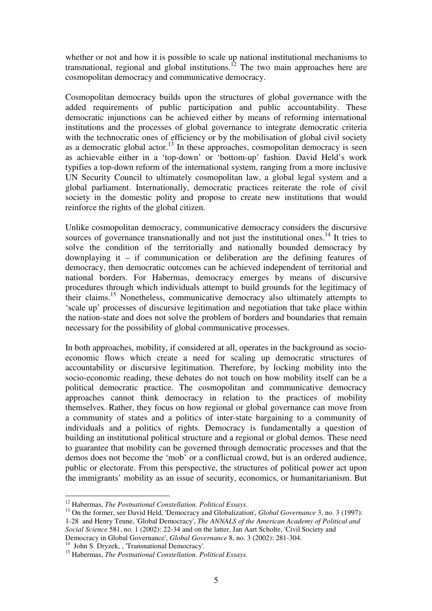whether or not and how it is possible to scale up national institutional mechanisms to transnational, regional and global institutions.<sup>12</sup> The two main approaches here are cosmopolitan democracy and communicative democracy.

Cosmopolitan democracy builds upon the structures of global governance with the added requirements of public participation and public accountability. These democratic injunctions can be achieved either by means of reforming international institutions and the processes of global governance to integrate democratic criteria with the technocratic ones of efficiency or by the mobilisation of global civil society as a democratic global actor.<sup>13</sup> In these approaches, cosmopolitan democracy is seen as achievable either in a 'top-down' or 'bottom-up' fashion. David Held's work typifies a top-down reform of the international system, ranging from a more inclusive UN Security Council to ultimately cosmopolitan law, a global legal system and a global parliament. Internationally, democratic practices reiterate the role of civil society in the domestic polity and propose to create new institutions that would reinforce the rights of the global citizen.

Unlike cosmopolitan democracy, communicative democracy considers the discursive sources of governance transnationally and not just the institutional ones.<sup>14</sup> It tries to solve the condition of the territorially and nationally bounded democracy by downplaying it – if communication or deliberation are the defining features of democracy, then democratic outcomes can be achieved independent of territorial and national borders. For Habermas, democracy emerges by means of discursive procedures through which individuals attempt to build grounds for the legitimacy of their claims.<sup>15</sup> Nonetheless, communicative democracy also ultimately attempts to 'scale up' processes of discursive legitimation and negotiation that take place within the nation-state and does not solve the problem of borders and boundaries that remain necessary for the possibility of global communicative processes.

In both approaches, mobility, if considered at all, operates in the background as socioeconomic flows which create a need for scaling up democratic structures of accountability or discursive legitimation. Therefore, by locking mobility into the socio-economic reading, these debates do not touch on how mobility itself can be a political democratic practice. The cosmopolitan and communicative democracy approaches cannot think democracy in relation to the practices of mobility themselves. Rather, they focus on how regional or global governance can move from a community of states and a politics of inter-state bargaining to a community of individuals and a politics of rights. Democracy is fundamentally a question of building an institutional political structure and a regional or global demos. These need to guarantee that mobility can be governed through democratic processes and that the demos does not become the 'mob' or a conflictual crowd, but is an ordered audience, public or electorate. From this perspective, the structures of political power act upon the immigrants' mobility as an issue of security, economics, or humanitarianism. But

<sup>14</sup> John S. Dryzek, , 'Transnational Democracy'*.*

 $\overline{a}$ <sup>12</sup> Habermas, *The Postnational Constellation. Political Essays.*

<sup>13</sup> On the former, see David Held, 'Democracy and Globalization', *Global Governance* 3, no. 3 (1997): 1-28 and Henry Teune, 'Global Democracy', *The ANNALS of the American Academy of Political and Social Science* 581, no. 1 (2002): 22-34 and on the latter, Jan Aart Scholte, 'Civil Society and Democracy in Global Governance', *Global Governance* 8, no. 3 (2002): 281-304.

<sup>15</sup> Habermas, *The Postnational Constellation. Political Essays.*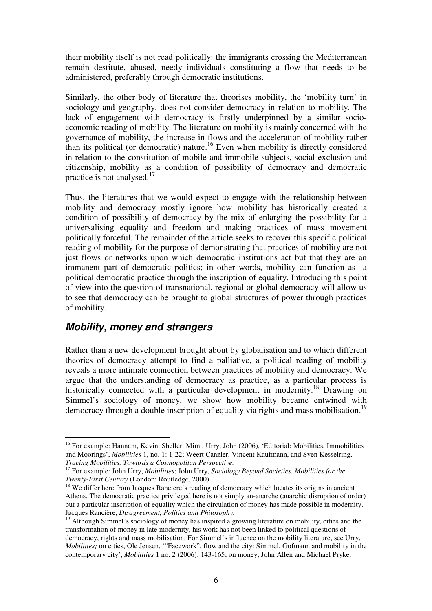their mobility itself is not read politically: the immigrants crossing the Mediterranean remain destitute, abused, needy individuals constituting a flow that needs to be administered, preferably through democratic institutions.

Similarly, the other body of literature that theorises mobility, the 'mobility turn' in sociology and geography, does not consider democracy in relation to mobility. The lack of engagement with democracy is firstly underpinned by a similar socioeconomic reading of mobility. The literature on mobility is mainly concerned with the governance of mobility, the increase in flows and the acceleration of mobility rather than its political (or democratic) nature.<sup>16</sup> Even when mobility is directly considered in relation to the constitution of mobile and immobile subjects, social exclusion and citizenship, mobility as a condition of possibility of democracy and democratic practice is not analysed.<sup>17</sup>

Thus, the literatures that we would expect to engage with the relationship between mobility and democracy mostly ignore how mobility has historically created a condition of possibility of democracy by the mix of enlarging the possibility for a universalising equality and freedom and making practices of mass movement politically forceful. The remainder of the article seeks to recover this specific political reading of mobility for the purpose of demonstrating that practices of mobility are not just flows or networks upon which democratic institutions act but that they are an immanent part of democratic politics; in other words, mobility can function as a political democratic practice through the inscription of equality. Introducing this point of view into the question of transnational, regional or global democracy will allow us to see that democracy can be brought to global structures of power through practices of mobility.

#### **Mobility, money and strangers**

 $\overline{a}$ 

Rather than a new development brought about by globalisation and to which different theories of democracy attempt to find a palliative, a political reading of mobility reveals a more intimate connection between practices of mobility and democracy. We argue that the understanding of democracy as practice, as a particular process is historically connected with a particular development in modernity.<sup>18</sup> Drawing on Simmel's sociology of money, we show how mobility became entwined with democracy through a double inscription of equality via rights and mass mobilisation.<sup>19</sup>

<sup>&</sup>lt;sup>16</sup> For example: Hannam, Kevin, Sheller, Mimi, Urry, John (2006), 'Editorial: Mobilities, Immobilities and Moorings', *Mobilities* 1, no. 1: 1-22; Weert Canzler, Vincent Kaufmann, and Sven Kesselring, *Tracing Mobilities. Towards a Cosmopolitan Perspective.*

<sup>17</sup> For example: John Urry, *Mobilities*; John Urry, *Sociology Beyond Societies. Mobilities for the Twenty-First Century* (London: Routledge, 2000).

<sup>&</sup>lt;sup>18</sup> We differ here from Jacques Rancière's reading of democracy which locates its origins in ancient Athens. The democratic practice privileged here is not simply an-anarche (anarchic disruption of order) but a particular inscription of equality which the circulation of money has made possible in modernity. Jacques Rancière, *Disagreement, Politics and Philosophy.*

<sup>&</sup>lt;sup>19</sup> Although Simmel's sociology of money has inspired a growing literature on mobility, cities and the transformation of money in late modernity, his work has not been linked to political questions of democracy, rights and mass mobilisation. For Simmel's influence on the mobility literature, see Urry, *Mobilities;* on cities, Ole Jensen, "'Facework", flow and the city: Simmel, Gofmann and mobility in the contemporary city', *Mobilities* 1 no. 2 (2006): 143-165; on money, John Allen and Michael Pryke,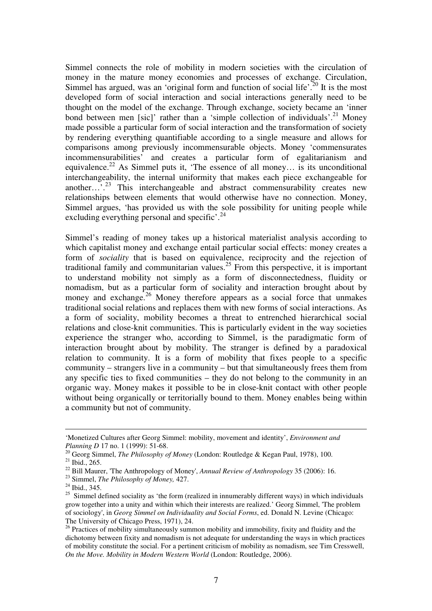Simmel connects the role of mobility in modern societies with the circulation of money in the mature money economies and processes of exchange. Circulation, Simmel has argued, was an 'original form and function of social life'.<sup>20</sup> It is the most developed form of social interaction and social interactions generally need to be thought on the model of the exchange. Through exchange, society became an 'inner bond between men [sic]' rather than a 'simple collection of individuals'.<sup>21</sup> Money made possible a particular form of social interaction and the transformation of society by rendering everything quantifiable according to a single measure and allows for comparisons among previously incommensurable objects. Money 'commensurates incommensurabilities' and creates a particular form of egalitarianism and equivalence.<sup>22</sup> As Simmel puts it, 'The essence of all money... is its unconditional interchangeability, the internal uniformity that makes each piece exchangeable for another…<sup>5</sup>.<sup>23</sup> This interchangeable and abstract commensurability creates new relationships between elements that would otherwise have no connection. Money, Simmel argues, 'has provided us with the sole possibility for uniting people while excluding everything personal and specific'.<sup>24</sup>

Simmel's reading of money takes up a historical materialist analysis according to which capitalist money and exchange entail particular social effects: money creates a form of *sociality* that is based on equivalence, reciprocity and the rejection of traditional family and communitarian values.<sup>25</sup> From this perspective, it is important to understand mobility not simply as a form of disconnectedness, fluidity or nomadism, but as a particular form of sociality and interaction brought about by money and exchange.<sup>26</sup> Money therefore appears as a social force that unmakes traditional social relations and replaces them with new forms of social interactions. As a form of sociality, mobility becomes a threat to entrenched hierarchical social relations and close-knit communities. This is particularly evident in the way societies experience the stranger who, according to Simmel, is the paradigmatic form of interaction brought about by mobility. The stranger is defined by a paradoxical relation to community. It is a form of mobility that fixes people to a specific community – strangers live in a community – but that simultaneously frees them from any specific ties to fixed communities – they do not belong to the community in an organic way. Money makes it possible to be in close-knit contact with other people without being organically or territorially bound to them. Money enables being within a community but not of community.

<sup>&#</sup>x27;Monetized Cultures after Georg Simmel: mobility, movement and identity', *Environment and Planning D 17 no. 1 (1999): 51-68.* 

<sup>&</sup>lt;sup>20</sup> Georg Simmel, *The Philosophy of Money* (London: Routledge & Kegan Paul, 1978), 100.

 $^{21}$  Ibid., 265.

<sup>22</sup> Bill Maurer, 'The Anthropology of Money', *Annual Review of Anthropology* 35 (2006): 16.

<sup>23</sup> Simmel, *The Philosophy of Money,* 427.

<sup>24</sup> Ibid., 345.

 $25$  Simmel defined sociality as 'the form (realized in innumerably different ways) in which individuals grow together into a unity and within which their interests are realized.' Georg Simmel, 'The problem of sociology', in *Georg Simmel on Individuality and Social Forms*, ed. Donald N. Levine (Chicago: The University of Chicago Press, 1971), 24.

<sup>&</sup>lt;sup>26</sup> Practices of mobility simultaneously summon mobility and immobility, fixity and fluidity and the dichotomy between fixity and nomadism is not adequate for understanding the ways in which practices of mobility constitute the social. For a pertinent criticism of mobility as nomadism, see Tim Cresswell, *On the Move. Mobility in Modern Western World* (London: Routledge, 2006).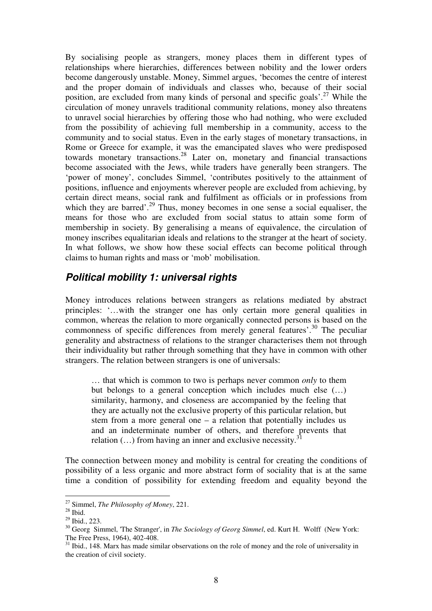By socialising people as strangers, money places them in different types of relationships where hierarchies, differences between nobility and the lower orders become dangerously unstable. Money, Simmel argues, 'becomes the centre of interest and the proper domain of individuals and classes who, because of their social position, are excluded from many kinds of personal and specific goals'.<sup>27</sup> While the circulation of money unravels traditional community relations, money also threatens to unravel social hierarchies by offering those who had nothing, who were excluded from the possibility of achieving full membership in a community, access to the community and to social status. Even in the early stages of monetary transactions, in Rome or Greece for example, it was the emancipated slaves who were predisposed towards monetary transactions.<sup>28</sup> Later on, monetary and financial transactions become associated with the Jews, while traders have generally been strangers. The 'power of money', concludes Simmel, 'contributes positively to the attainment of positions, influence and enjoyments wherever people are excluded from achieving, by certain direct means, social rank and fulfilment as officials or in professions from which they are barred'.<sup>29</sup> Thus, money becomes in one sense a social equaliser, the means for those who are excluded from social status to attain some form of membership in society. By generalising a means of equivalence, the circulation of money inscribes equalitarian ideals and relations to the stranger at the heart of society. In what follows, we show how these social effects can become political through claims to human rights and mass or 'mob' mobilisation.

#### **Political mobility 1: universal rights**

Money introduces relations between strangers as relations mediated by abstract principles: '…with the stranger one has only certain more general qualities in common, whereas the relation to more organically connected persons is based on the commonness of specific differences from merely general features'.<sup>30</sup> The peculiar generality and abstractness of relations to the stranger characterises them not through their individuality but rather through something that they have in common with other strangers. The relation between strangers is one of universals:

… that which is common to two is perhaps never common *only* to them but belongs to a general conception which includes much else (…) similarity, harmony, and closeness are accompanied by the feeling that they are actually not the exclusive property of this particular relation, but stem from a more general one – a relation that potentially includes us and an indeterminate number of others, and therefore prevents that relation  $(...)$  from having an inner and exclusive necessity.<sup>3</sup>

The connection between money and mobility is central for creating the conditions of possibility of a less organic and more abstract form of sociality that is at the same time a condition of possibility for extending freedom and equality beyond the

<sup>27</sup> Simmel, *The Philosophy of Money*, 221.

<sup>28</sup> Ibid.

<sup>29</sup> Ibid., 223.

<sup>&</sup>lt;sup>30</sup> Georg Simmel, 'The Stranger', in *The Sociology of Georg Simmel*, ed. Kurt H. Wolff (New York: The Free Press, 1964), 402-408.

<sup>&</sup>lt;sup>31</sup> Ibid., 148. Marx has made similar observations on the role of money and the role of universality in the creation of civil society.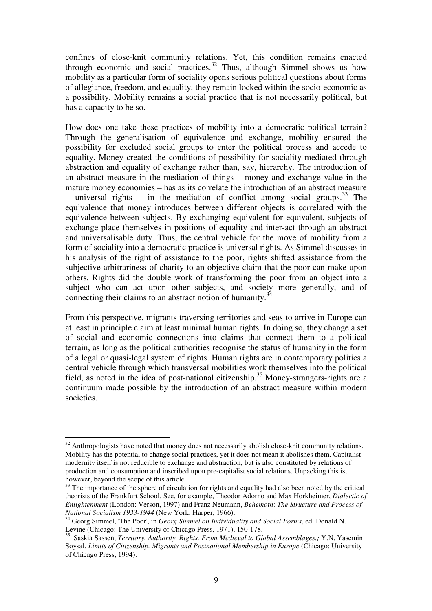confines of close-knit community relations. Yet, this condition remains enacted through economic and social practices.<sup>32</sup> Thus, although Simmel shows us how mobility as a particular form of sociality opens serious political questions about forms of allegiance, freedom, and equality, they remain locked within the socio-economic as a possibility. Mobility remains a social practice that is not necessarily political, but has a capacity to be so.

How does one take these practices of mobility into a democratic political terrain? Through the generalisation of equivalence and exchange, mobility ensured the possibility for excluded social groups to enter the political process and accede to equality. Money created the conditions of possibility for sociality mediated through abstraction and equality of exchange rather than, say, hierarchy. The introduction of an abstract measure in the mediation of things – money and exchange value in the mature money economies – has as its correlate the introduction of an abstract measure – universal rights – in the mediation of conflict among social groups.<sup>33</sup> The equivalence that money introduces between different objects is correlated with the equivalence between subjects. By exchanging equivalent for equivalent, subjects of exchange place themselves in positions of equality and inter-act through an abstract and universalisable duty. Thus, the central vehicle for the move of mobility from a form of sociality into a democratic practice is universal rights. As Simmel discusses in his analysis of the right of assistance to the poor, rights shifted assistance from the subjective arbitrariness of charity to an objective claim that the poor can make upon others. Rights did the double work of transforming the poor from an object into a subject who can act upon other subjects, and society more generally, and of connecting their claims to an abstract notion of humanity.<sup>32</sup>

From this perspective, migrants traversing territories and seas to arrive in Europe can at least in principle claim at least minimal human rights. In doing so, they change a set of social and economic connections into claims that connect them to a political terrain, as long as the political authorities recognise the status of humanity in the form of a legal or quasi-legal system of rights. Human rights are in contemporary politics a central vehicle through which transversal mobilities work themselves into the political field, as noted in the idea of post-national citizenship.<sup>35</sup> Money-strangers-rights are a continuum made possible by the introduction of an abstract measure within modern societies.

 $32$  Anthropologists have noted that money does not necessarily abolish close-knit community relations. Mobility has the potential to change social practices, yet it does not mean it abolishes them. Capitalist modernity itself is not reducible to exchange and abstraction, but is also constituted by relations of production and consumption and inscribed upon pre-capitalist social relations. Unpacking this is, however, beyond the scope of this article.

<sup>&</sup>lt;sup>33</sup> The importance of the sphere of circulation for rights and equality had also been noted by the critical theorists of the Frankfurt School. See, for example, Theodor Adorno and Max Horkheimer, *Dialectic of Enlightenment* (London: Verson, 1997) and Franz Neumann, *Behemoth*: *The Structure and Process of National Socialism 1933-1944* (New York: Harper, 1966).

<sup>34</sup> Georg Simmel, 'The Poor', in *Georg Simmel on Individuality and Social Forms*, ed. Donald N. Levine (Chicago: The University of Chicago Press, 1971), 150-178.

<sup>35</sup> Saskia Sassen, *Territory, Authority, Rights. From Medieval to Global Assemblages.;* Y.N, Yasemin Soysal, *Limits of Citizenship. Migrants and Postnational Membership in Europe* (Chicago: University of Chicago Press, 1994).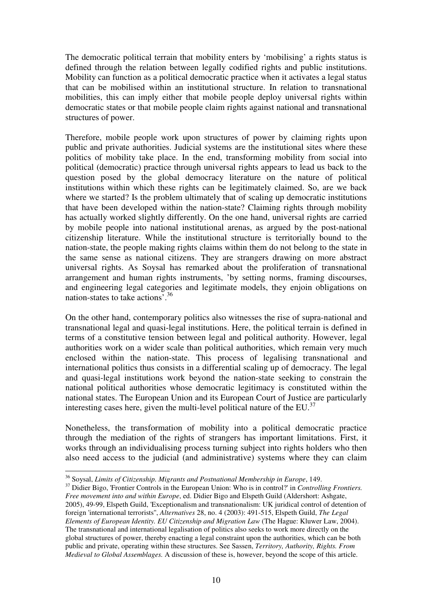The democratic political terrain that mobility enters by 'mobilising' a rights status is defined through the relation between legally codified rights and public institutions. Mobility can function as a political democratic practice when it activates a legal status that can be mobilised within an institutional structure. In relation to transnational mobilities, this can imply either that mobile people deploy universal rights within democratic states or that mobile people claim rights against national and transnational structures of power.

Therefore, mobile people work upon structures of power by claiming rights upon public and private authorities. Judicial systems are the institutional sites where these politics of mobility take place. In the end, transforming mobility from social into political (democratic) practice through universal rights appears to lead us back to the question posed by the global democracy literature on the nature of political institutions within which these rights can be legitimately claimed. So, are we back where we started? Is the problem ultimately that of scaling up democratic institutions that have been developed within the nation-state? Claiming rights through mobility has actually worked slightly differently. On the one hand, universal rights are carried by mobile people into national institutional arenas, as argued by the post-national citizenship literature. While the institutional structure is territorially bound to the nation-state, the people making rights claims within them do not belong to the state in the same sense as national citizens. They are strangers drawing on more abstract universal rights. As Soysal has remarked about the proliferation of transnational arrangement and human rights instruments, 'by setting norms, framing discourses, and engineering legal categories and legitimate models, they enjoin obligations on nation-states to take actions'.<sup>36</sup>

On the other hand, contemporary politics also witnesses the rise of supra-national and transnational legal and quasi-legal institutions. Here, the political terrain is defined in terms of a constitutive tension between legal and political authority. However, legal authorities work on a wider scale than political authorities, which remain very much enclosed within the nation-state. This process of legalising transnational and international politics thus consists in a differential scaling up of democracy. The legal and quasi-legal institutions work beyond the nation-state seeking to constrain the national political authorities whose democratic legitimacy is constituted within the national states. The European Union and its European Court of Justice are particularly interesting cases here, given the multi-level political nature of the EU.<sup>37</sup>

Nonetheless, the transformation of mobility into a political democratic practice through the mediation of the rights of strangers has important limitations. First, it works through an individualising process turning subject into rights holders who then also need access to the judicial (and administrative) systems where they can claim

<sup>36</sup> Soysal, *Limits of Citizenship. Migrants and Postnational Membership in Europe*, 149.

<sup>37</sup> Didier Bigo, 'Frontier Controls in the European Union: Who is in control?' in *Controlling Frontiers. Free movement into and within Europe*, ed. Didier Bigo and Elspeth Guild (Aldershort: Ashgate, 2005), 49-99, Elspeth Guild, 'Exceptionalism and transnationalism: UK juridical control of detention of foreign 'international terrorists'', *Alternatives* 28, no. 4 (2003): 491-515, Elspeth Guild, *The Legal Elements of European Identity. EU Citizenship and Migration Law* (The Hague: Kluwer Law, 2004). The transnational and international legalisation of politics also seeks to work more directly on the global structures of power, thereby enacting a legal constraint upon the authorities, which can be both public and private, operating within these structures. See Sassen, *Territory, Authority, Rights. From Medieval to Global Assemblages.* A discussion of these is, however, beyond the scope of this article.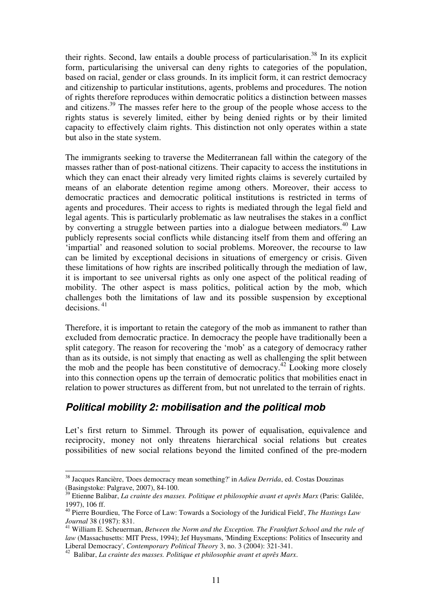their rights. Second, law entails a double process of particularisation.<sup>38</sup> In its explicit form, particularising the universal can deny rights to categories of the population, based on racial, gender or class grounds. In its implicit form, it can restrict democracy and citizenship to particular institutions, agents, problems and procedures. The notion of rights therefore reproduces within democratic politics a distinction between masses and citizens.<sup>39</sup> The masses refer here to the group of the people whose access to the rights status is severely limited, either by being denied rights or by their limited capacity to effectively claim rights. This distinction not only operates within a state but also in the state system.

The immigrants seeking to traverse the Mediterranean fall within the category of the masses rather than of post-national citizens. Their capacity to access the institutions in which they can enact their already very limited rights claims is severely curtailed by means of an elaborate detention regime among others. Moreover, their access to democratic practices and democratic political institutions is restricted in terms of agents and procedures. Their access to rights is mediated through the legal field and legal agents. This is particularly problematic as law neutralises the stakes in a conflict by converting a struggle between parties into a dialogue between mediators.<sup>40</sup> Law publicly represents social conflicts while distancing itself from them and offering an 'impartial' and reasoned solution to social problems. Moreover, the recourse to law can be limited by exceptional decisions in situations of emergency or crisis. Given these limitations of how rights are inscribed politically through the mediation of law, it is important to see universal rights as only one aspect of the political reading of mobility. The other aspect is mass politics, political action by the mob, which challenges both the limitations of law and its possible suspension by exceptional  $decisions.<sup>41</sup>$ 

Therefore, it is important to retain the category of the mob as immanent to rather than excluded from democratic practice. In democracy the people have traditionally been a split category. The reason for recovering the 'mob' as a category of democracy rather than as its outside, is not simply that enacting as well as challenging the split between the mob and the people has been constitutive of democracy.<sup>42</sup> Looking more closely into this connection opens up the terrain of democratic politics that mobilities enact in relation to power structures as different from, but not unrelated to the terrain of rights.

#### **Political mobility 2: mobilisation and the political mob**

Let's first return to Simmel. Through its power of equalisation, equivalence and reciprocity, money not only threatens hierarchical social relations but creates possibilities of new social relations beyond the limited confined of the pre-modern

<sup>38</sup> Jacques Rancière, 'Does democracy mean something?' in *Adieu Derrida*, ed. Costas Douzinas (Basingstoke: Palgrave, 2007), 84-100.

<sup>39</sup> Etienne Balibar, *La crainte des masses. Politique et philosophie avant et aprês Marx* (Paris: Galilée, 1997), 106 ff.

<sup>40</sup> Pierre Bourdieu, 'The Force of Law: Towards a Sociology of the Juridical Field', *The Hastings Law Journal* 38 (1987): 831.

<sup>&</sup>lt;sup>41</sup> William E. Scheuerman, *Between the Norm and the Exception. The Frankfurt School and the rule of law* (Massachusetts: MIT Press, 1994); Jef Huysmans, 'Minding Exceptions: Politics of Insecurity and Liberal Democracy', *Contemporary Political Theory* 3, no. 3 (2004): 321-341.

<sup>42</sup> Balibar, *La crainte des masses. Politique et philosophie avant et aprês Marx*.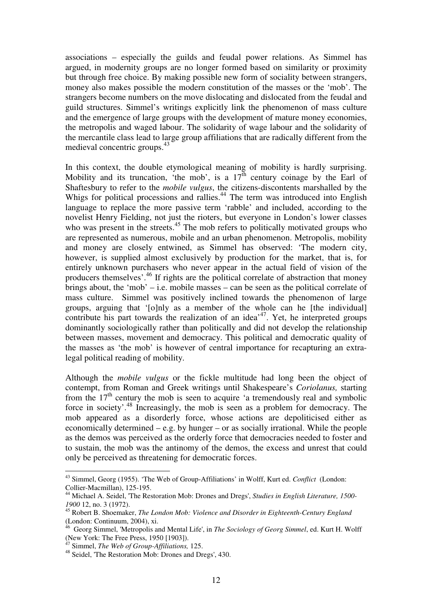associations – especially the guilds and feudal power relations. As Simmel has argued, in modernity groups are no longer formed based on similarity or proximity but through free choice. By making possible new form of sociality between strangers, money also makes possible the modern constitution of the masses or the 'mob'. The strangers become numbers on the move dislocating and dislocated from the feudal and guild structures. Simmel's writings explicitly link the phenomenon of mass culture and the emergence of large groups with the development of mature money economies, the metropolis and waged labour. The solidarity of wage labour and the solidarity of the mercantile class lead to large group affiliations that are radically different from the medieval concentric groups.<sup>43</sup>

In this context, the double etymological meaning of mobility is hardly surprising. Mobility and its truncation, 'the mob', is a  $17<sup>th</sup>$  century coinage by the Earl of Shaftesbury to refer to the *mobile vulgus*, the citizens-discontents marshalled by the Whigs for political processions and rallies.<sup>44</sup> The term was introduced into English language to replace the more passive term 'rabble' and included, according to the novelist Henry Fielding, not just the rioters, but everyone in London's lower classes who was present in the streets.<sup>45</sup> The mob refers to politically motivated groups who are represented as numerous, mobile and an urban phenomenon. Metropolis, mobility and money are closely entwined, as Simmel has observed: 'The modern city, however, is supplied almost exclusively by production for the market, that is, for entirely unknown purchasers who never appear in the actual field of vision of the producers themselves'.<sup>46</sup> If rights are the political correlate of abstraction that money brings about, the 'mob' – i.e. mobile masses – can be seen as the political correlate of mass culture. Simmel was positively inclined towards the phenomenon of large groups, arguing that '[o]nly as a member of the whole can he [the individual] contribute his part towards the realization of an idea<sup> $47$ </sup>. Yet, he interpreted groups dominantly sociologically rather than politically and did not develop the relationship between masses, movement and democracy. This political and democratic quality of the masses as 'the mob' is however of central importance for recapturing an extralegal political reading of mobility.

Although the *mobile vulgus* or the fickle multitude had long been the object of contempt, from Roman and Greek writings until Shakespeare's *Coriolanus,* starting from the  $17<sup>th</sup>$  century the mob is seen to acquire 'a tremendously real and symbolic force in society'.<sup>48</sup> Increasingly, the mob is seen as a problem for democracy. The mob appeared as a disorderly force, whose actions are depoliticised either as economically determined – e.g. by hunger – or as socially irrational. While the people as the demos was perceived as the orderly force that democracies needed to foster and to sustain, the mob was the antinomy of the demos, the excess and unrest that could only be perceived as threatening for democratic forces.

<sup>43</sup> Simmel, Georg (1955). 'The Web of Group-Affiliations' in Wolff, Kurt ed. *Conflict* (London: Collier-Macmillan), 125-195.

<sup>44</sup> Michael A. Seidel, 'The Restoration Mob: Drones and Dregs', *Studies in English Literature, 1500- 1900* 12, no. 3 (1972).

<sup>45</sup> Robert B. Shoemaker, *The London Mob: Violence and Disorder in Eighteenth-Century England* (London: Continuum, 2004), xi.

<sup>46</sup> Georg Simmel, 'Metropolis and Mental Life', in *The Sociology of Georg Simmel*, ed. Kurt H. Wolff (New York: The Free Press, 1950 [1903]).

Simmel, *The Web of Group-Affiliations*, 125.

<sup>48</sup> Seidel, 'The Restoration Mob: Drones and Dregs', 430.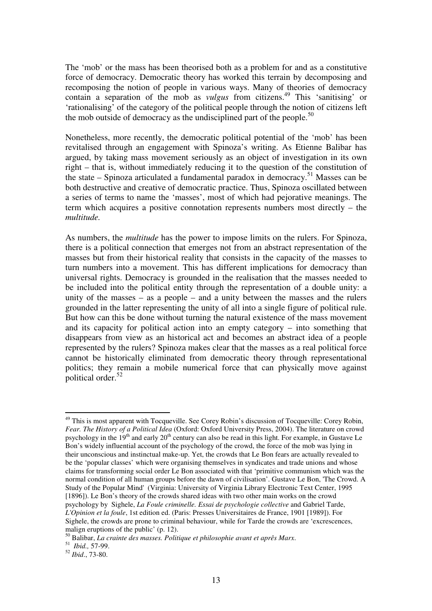The 'mob' or the mass has been theorised both as a problem for and as a constitutive force of democracy. Democratic theory has worked this terrain by decomposing and recomposing the notion of people in various ways. Many of theories of democracy contain a separation of the mob as *vulgus* from citizens.<sup>49</sup> This 'sanitising' or 'rationalising' of the category of the political people through the notion of citizens left the mob outside of democracy as the undisciplined part of the people.<sup>50</sup>

Nonetheless, more recently, the democratic political potential of the 'mob' has been revitalised through an engagement with Spinoza's writing. As Etienne Balibar has argued, by taking mass movement seriously as an object of investigation in its own right – that is, without immediately reducing it to the question of the constitution of the state – Spinoza articulated a fundamental paradox in democracy.<sup>51</sup> Masses can be both destructive and creative of democratic practice. Thus, Spinoza oscillated between a series of terms to name the 'masses', most of which had pejorative meanings. The term which acquires a positive connotation represents numbers most directly – the *multitude.* 

As numbers, the *multitude* has the power to impose limits on the rulers. For Spinoza, there is a political connection that emerges not from an abstract representation of the masses but from their historical reality that consists in the capacity of the masses to turn numbers into a movement. This has different implications for democracy than universal rights. Democracy is grounded in the realisation that the masses needed to be included into the political entity through the representation of a double unity: a unity of the masses – as a people – and a unity between the masses and the rulers grounded in the latter representing the unity of all into a single figure of political rule. But how can this be done without turning the natural existence of the mass movement and its capacity for political action into an empty category – into something that disappears from view as an historical act and becomes an abstract idea of a people represented by the rulers? Spinoza makes clear that the masses as a real political force cannot be historically eliminated from democratic theory through representational politics; they remain a mobile numerical force that can physically move against political order.<sup>52</sup>

<sup>&</sup>lt;sup>49</sup> This is most apparent with Tocqueville. See Corey Robin's discussion of Tocqueville: Corey Robin, *Fear. The History of a Political Idea* (Oxford: Oxford University Press, 2004). The literature on crowd psychology in the  $19<sup>th</sup>$  and early  $20<sup>th</sup>$  century can also be read in this light. For example, in Gustave Le Bon's widely influential account of the psychology of the crowd, the force of the mob was lying in their unconscious and instinctual make-up. Yet, the crowds that Le Bon fears are actually revealed to be the 'popular classes' which were organising themselves in syndicates and trade unions and whose claims for transforming social order Le Bon associated with that 'primitive communism which was the normal condition of all human groups before the dawn of civilisation'. Gustave Le Bon, 'The Crowd. A Study of the Popular Mind' (Virginia: University of Virginia Library Electronic Text Center, 1995 [1896]). Le Bon's theory of the crowds shared ideas with two other main works on the crowd psychology by Sighele, *La Foule criminelle. Essai de psychologie collective* and Gabriel Tarde, *L'Opinion et la foule*, 1st edition ed. (Paris: Presses Universitaires de France, 1901 [1989]). For Sighele, the crowds are prone to criminal behaviour, while for Tarde the crowds are 'excrescences, malign eruptions of the public' (p. 12).

<sup>50</sup> Balibar, *La crainte des masses. Politique et philosophie avant et aprês Marx*.

<sup>51</sup> *Ibid.,* 57-99.

<sup>52</sup> *Ibid*., 73-80.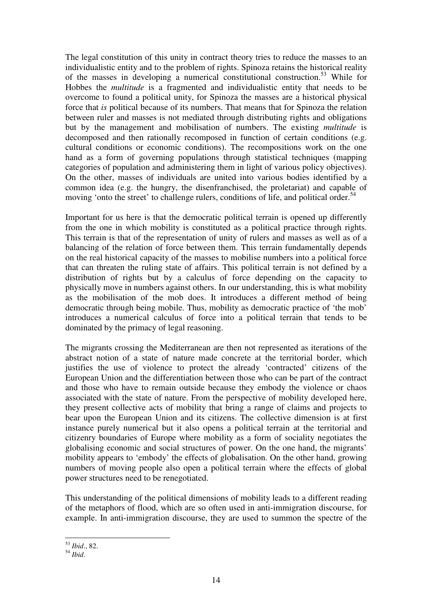The legal constitution of this unity in contract theory tries to reduce the masses to an individualistic entity and to the problem of rights. Spinoza retains the historical reality of the masses in developing a numerical constitutional construction.<sup>53</sup> While for Hobbes the *multitude* is a fragmented and individualistic entity that needs to be overcome to found a political unity, for Spinoza the masses are a historical physical force that *is* political because of its numbers. That means that for Spinoza the relation between ruler and masses is not mediated through distributing rights and obligations but by the management and mobilisation of numbers. The existing *multitude* is decomposed and then rationally recomposed in function of certain conditions (e.g. cultural conditions or economic conditions). The recompositions work on the one hand as a form of governing populations through statistical techniques (mapping categories of population and administering them in light of various policy objectives). On the other, masses of individuals are united into various bodies identified by a common idea (e.g. the hungry, the disenfranchised, the proletariat) and capable of moving 'onto the street' to challenge rulers, conditions of life, and political order.<sup>54</sup>

Important for us here is that the democratic political terrain is opened up differently from the one in which mobility is constituted as a political practice through rights. This terrain is that of the representation of unity of rulers and masses as well as of a balancing of the relation of force between them. This terrain fundamentally depends on the real historical capacity of the masses to mobilise numbers into a political force that can threaten the ruling state of affairs. This political terrain is not defined by a distribution of rights but by a calculus of force depending on the capacity to physically move in numbers against others. In our understanding, this is what mobility as the mobilisation of the mob does. It introduces a different method of being democratic through being mobile. Thus, mobility as democratic practice of 'the mob' introduces a numerical calculus of force into a political terrain that tends to be dominated by the primacy of legal reasoning.

The migrants crossing the Mediterranean are then not represented as iterations of the abstract notion of a state of nature made concrete at the territorial border, which justifies the use of violence to protect the already 'contracted' citizens of the European Union and the differentiation between those who can be part of the contract and those who have to remain outside because they embody the violence or chaos associated with the state of nature. From the perspective of mobility developed here, they present collective acts of mobility that bring a range of claims and projects to bear upon the European Union and its citizens. The collective dimension is at first instance purely numerical but it also opens a political terrain at the territorial and citizenry boundaries of Europe where mobility as a form of sociality negotiates the globalising economic and social structures of power. On the one hand, the migrants' mobility appears to 'embody' the effects of globalisation. On the other hand, growing numbers of moving people also open a political terrain where the effects of global power structures need to be renegotiated.

This understanding of the political dimensions of mobility leads to a different reading of the metaphors of flood, which are so often used in anti-immigration discourse, for example. In anti-immigration discourse, they are used to summon the spectre of the

 $\overline{a}$ <sup>53</sup> *Ibid*., 82.

<sup>54</sup> *Ibid*.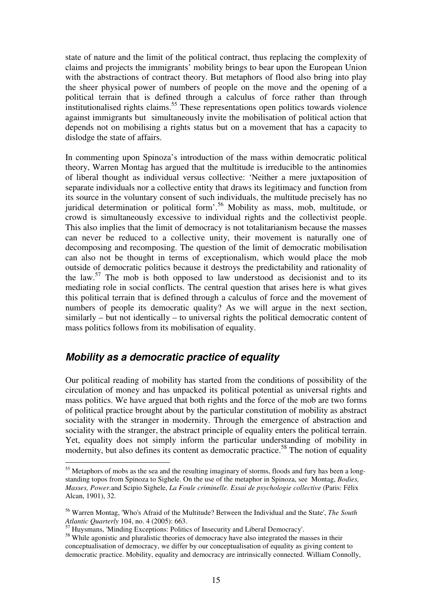state of nature and the limit of the political contract, thus replacing the complexity of claims and projects the immigrants' mobility brings to bear upon the European Union with the abstractions of contract theory. But metaphors of flood also bring into play the sheer physical power of numbers of people on the move and the opening of a political terrain that is defined through a calculus of force rather than through  $\frac{1}{1}$  institutionalised rights claims.<sup>55</sup> These representations open politics towards violence against immigrants but simultaneously invite the mobilisation of political action that depends not on mobilising a rights status but on a movement that has a capacity to dislodge the state of affairs.

In commenting upon Spinoza's introduction of the mass within democratic political theory, Warren Montag has argued that the multitude is irreducible to the antinomies of liberal thought as individual versus collective: 'Neither a mere juxtaposition of separate individuals nor a collective entity that draws its legitimacy and function from its source in the voluntary consent of such individuals, the multitude precisely has no juridical determination or political form'.<sup>56</sup> Mobility as mass, mob, multitude, or crowd is simultaneously excessive to individual rights and the collectivist people. This also implies that the limit of democracy is not totalitarianism because the masses can never be reduced to a collective unity, their movement is naturally one of decomposing and recomposing. The question of the limit of democratic mobilisation can also not be thought in terms of exceptionalism, which would place the mob outside of democratic politics because it destroys the predictability and rationality of the law.<sup>57</sup> The mob is both opposed to law understood as decisionist and to its mediating role in social conflicts. The central question that arises here is what gives this political terrain that is defined through a calculus of force and the movement of numbers of people its democratic quality? As we will argue in the next section, similarly – but not identically – to universal rights the political democratic content of mass politics follows from its mobilisation of equality.

#### **Mobility as a democratic practice of equality**

 $\overline{a}$ 

Our political reading of mobility has started from the conditions of possibility of the circulation of money and has unpacked its political potential as universal rights and mass politics. We have argued that both rights and the force of the mob are two forms of political practice brought about by the particular constitution of mobility as abstract sociality with the stranger in modernity. Through the emergence of abstraction and sociality with the stranger, the abstract principle of equality enters the political terrain. Yet, equality does not simply inform the particular understanding of mobility in modernity, but also defines its content as democratic practice.<sup>58</sup> The notion of equality

<sup>&</sup>lt;sup>55</sup> Metaphors of mobs as the sea and the resulting imaginary of storms, floods and fury has been a longstanding topos from Spinoza to Sighele. On the use of the metaphor in Spinoza, see Montag, *Bodies, Masses, Power.*and Scipio Sighele, *La Foule criminelle. Essai de psychologie collective* (Paris: Félix Alcan, 1901), 32.

<sup>56</sup> Warren Montag, 'Who's Afraid of the Multitude? Between the Individual and the State', *The South Atlantic Quarterly* 104, no. 4 (2005): 663.

<sup>&</sup>lt;sup>57</sup> Huysmans, 'Minding Exceptions: Politics of Insecurity and Liberal Democracy'.

<sup>&</sup>lt;sup>58</sup> While agonistic and pluralistic theories of democracy have also integrated the masses in their conceptualisation of democracy, we differ by our conceptualisation of equality as giving content to democratic practice. Mobility, equality and democracy are intrinsically connected. William Connolly,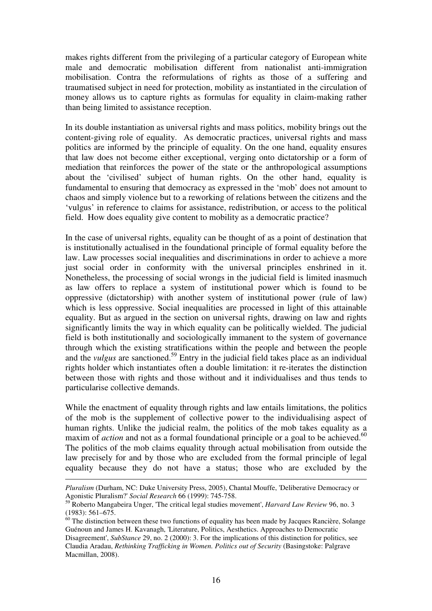makes rights different from the privileging of a particular category of European white male and democratic mobilisation different from nationalist anti-immigration mobilisation. Contra the reformulations of rights as those of a suffering and traumatised subject in need for protection, mobility as instantiated in the circulation of money allows us to capture rights as formulas for equality in claim-making rather than being limited to assistance reception.

In its double instantiation as universal rights and mass politics, mobility brings out the content-giving role of equality. As democratic practices, universal rights and mass politics are informed by the principle of equality. On the one hand, equality ensures that law does not become either exceptional, verging onto dictatorship or a form of mediation that reinforces the power of the state or the anthropological assumptions about the 'civilised' subject of human rights. On the other hand, equality is fundamental to ensuring that democracy as expressed in the 'mob' does not amount to chaos and simply violence but to a reworking of relations between the citizens and the 'vulgus' in reference to claims for assistance, redistribution, or access to the political field. How does equality give content to mobility as a democratic practice?

In the case of universal rights, equality can be thought of as a point of destination that is institutionally actualised in the foundational principle of formal equality before the law. Law processes social inequalities and discriminations in order to achieve a more just social order in conformity with the universal principles enshrined in it. Nonetheless, the processing of social wrongs in the judicial field is limited inasmuch as law offers to replace a system of institutional power which is found to be oppressive (dictatorship) with another system of institutional power (rule of law) which is less oppressive. Social inequalities are processed in light of this attainable equality. But as argued in the section on universal rights, drawing on law and rights significantly limits the way in which equality can be politically wielded. The judicial field is both institutionally and sociologically immanent to the system of governance through which the existing stratifications within the people and between the people and the *vulgus* are sanctioned.<sup>59</sup> Entry in the judicial field takes place as an individual rights holder which instantiates often a double limitation: it re-iterates the distinction between those with rights and those without and it individualises and thus tends to particularise collective demands.

While the enactment of equality through rights and law entails limitations, the politics of the mob is the supplement of collective power to the individualising aspect of human rights. Unlike the judicial realm, the politics of the mob takes equality as a maxim of *action* and not as a formal foundational principle or a goal to be achieved.<sup>60</sup> The politics of the mob claims equality through actual mobilisation from outside the law precisely for and by those who are excluded from the formal principle of legal equality because they do not have a status; those who are excluded by the

*Pluralism* (Durham, NC: Duke University Press, 2005), Chantal Mouffe, 'Deliberative Democracy or Agonistic Pluralism?' *Social Research* 66 (1999): 745-758.

<sup>59</sup> Roberto Mangabeira Unger, 'The critical legal studies movement', *Harvard Law Review* 96, no. 3 (1983): 561–675.

 $60$  The distinction between these two functions of equality has been made by Jacques Rancière, Solange Guénoun and James H. Kavanagh, 'Literature, Politics, Aesthetics. Approaches to Democratic Disagreement', *SubStance* 29, no. 2 (2000): 3. For the implications of this distinction for politics, see Claudia Aradau, *Rethinking Trafficking in Women. Politics out of Security* (Basingstoke: Palgrave Macmillan, 2008).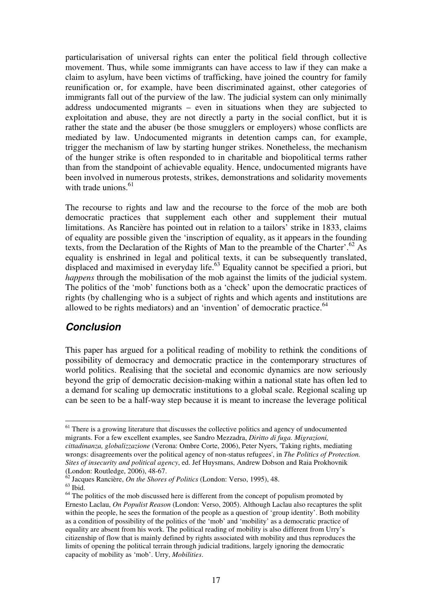particularisation of universal rights can enter the political field through collective movement. Thus, while some immigrants can have access to law if they can make a claim to asylum, have been victims of trafficking, have joined the country for family reunification or, for example, have been discriminated against, other categories of immigrants fall out of the purview of the law. The judicial system can only minimally address undocumented migrants – even in situations when they are subjected to exploitation and abuse, they are not directly a party in the social conflict, but it is rather the state and the abuser (be those smugglers or employers) whose conflicts are mediated by law. Undocumented migrants in detention camps can, for example, trigger the mechanism of law by starting hunger strikes. Nonetheless, the mechanism of the hunger strike is often responded to in charitable and biopolitical terms rather than from the standpoint of achievable equality. Hence, undocumented migrants have been involved in numerous protests, strikes, demonstrations and solidarity movements with trade unions. $61$ 

The recourse to rights and law and the recourse to the force of the mob are both democratic practices that supplement each other and supplement their mutual limitations. As Rancière has pointed out in relation to a tailors' strike in 1833, claims of equality are possible given the 'inscription of equality, as it appears in the founding texts, from the Declaration of the Rights of Man to the preamble of the Charter'.<sup>62</sup> As equality is enshrined in legal and political texts, it can be subsequently translated, displaced and maximised in everyday life.<sup>63</sup> Equality cannot be specified a priori, but *happens* through the mobilisation of the mob against the limits of the judicial system. The politics of the 'mob' functions both as a 'check' upon the democratic practices of rights (by challenging who is a subject of rights and which agents and institutions are allowed to be rights mediators) and an 'invention' of democratic practice.<sup>64</sup>

#### **Conclusion**

This paper has argued for a political reading of mobility to rethink the conditions of possibility of democracy and democratic practice in the contemporary structures of world politics. Realising that the societal and economic dynamics are now seriously beyond the grip of democratic decision-making within a national state has often led to a demand for scaling up democratic institutions to a global scale. Regional scaling up can be seen to be a half-way step because it is meant to increase the leverage political

 $\overline{a}$ <sup>61</sup> There is a growing literature that discusses the collective politics and agency of undocumented migrants. For a few excellent examples, see Sandro Mezzadra, *Diritto di fuga. Migrazioni, cittadinanza, globalizzazione* (Verona: Ombre Corte, 2006), Peter Nyers, 'Taking rights, mediating wrongs: disagreements over the political agency of non-status refugees', in *The Politics of Protection. Sites of insecurity and political agency*, ed. Jef Huysmans, Andrew Dobson and Raia Prokhovnik (London: Routledge, 2006), 48-67.

<sup>62</sup> Jacques Rancière, *On the Shores of Politics* (London: Verso, 1995), 48.  $63$  Ibid.

<sup>&</sup>lt;sup>64</sup> The politics of the mob discussed here is different from the concept of populism promoted by Ernesto Laclau, *On Populist Reason* (London: Verso, 2005). Although Laclau also recaptures the split within the people, he sees the formation of the people as a question of 'group identity'. Both mobility as a condition of possibility of the politics of the 'mob' and 'mobility' as a democratic practice of equality are absent from his work. The political reading of mobility is also different from Urry's citizenship of flow that is mainly defined by rights associated with mobility and thus reproduces the limits of opening the political terrain through judicial traditions, largely ignoring the democratic capacity of mobility as 'mob'. Urry, *Mobilities*.